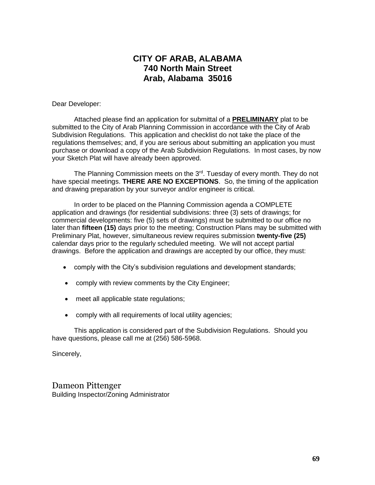## **CITY OF ARAB, ALABAMA 740 North Main Street Arab, Alabama 35016**

Dear Developer:

Attached please find an application for submittal of a **PRELIMINARY** plat to be submitted to the City of Arab Planning Commission in accordance with the City of Arab Subdivision Regulations. This application and checklist do not take the place of the regulations themselves; and, if you are serious about submitting an application you must purchase or download a copy of the Arab Subdivision Regulations. In most cases, by now your Sketch Plat will have already been approved.

The Planning Commission meets on the 3<sup>rd</sup>. Tuesday of every month. They do not have special meetings. **THERE ARE NO EXCEPTIONS**. So, the timing of the application and drawing preparation by your surveyor and/or engineer is critical.

In order to be placed on the Planning Commission agenda a COMPLETE application and drawings (for residential subdivisions: three (3) sets of drawings; for commercial developments: five (5) sets of drawings) must be submitted to our office no later than **fifteen (15)** days prior to the meeting; Construction Plans may be submitted with Preliminary Plat, however, simultaneous review requires submission **twenty-five (25)** calendar days prior to the regularly scheduled meeting. We will not accept partial drawings. Before the application and drawings are accepted by our office, they must:

- comply with the City's subdivision regulations and development standards;
- comply with review comments by the City Engineer;
- meet all applicable state regulations;
- comply with all requirements of local utility agencies;

This application is considered part of the Subdivision Regulations. Should you have questions, please call me at (256) 586-5968.

Sincerely,

Dameon Pittenger Building Inspector/Zoning Administrator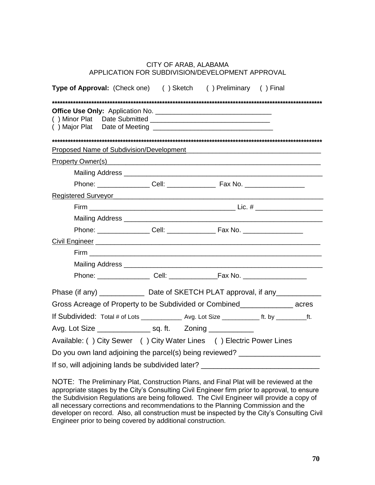| APPLICATION FOR SUBDIVISION/DEVELOPMENT APPROVAL                       | CITY OF ARAB, ALABAMA |  |
|------------------------------------------------------------------------|-----------------------|--|
| <b>Type of Approval:</b> (Check one) () Sketch () Preliminary () Final |                       |  |
| () Major Plat Date of Meeting                                          |                       |  |

| Proposed Name of Subdivision/Development                                                                                                                                                                                      | <u> 1989 - John Stein, Amerikaansk politiker († 1908)</u> |  |
|-------------------------------------------------------------------------------------------------------------------------------------------------------------------------------------------------------------------------------|-----------------------------------------------------------|--|
| Property Owner(s) example and the contract of the contract of the contract of the contract of the contract of the contract of the contract of the contract of the contract of the contract of the contract of the contract of |                                                           |  |
|                                                                                                                                                                                                                               |                                                           |  |
|                                                                                                                                                                                                                               |                                                           |  |
| Registered Surveyor Manual Account of the Surveyor Contractor and the Surveyor Contractor and the Surveyor                                                                                                                    |                                                           |  |
|                                                                                                                                                                                                                               |                                                           |  |
|                                                                                                                                                                                                                               |                                                           |  |
|                                                                                                                                                                                                                               |                                                           |  |
|                                                                                                                                                                                                                               |                                                           |  |
|                                                                                                                                                                                                                               |                                                           |  |
|                                                                                                                                                                                                                               |                                                           |  |
|                                                                                                                                                                                                                               |                                                           |  |
|                                                                                                                                                                                                                               |                                                           |  |
| Gross Acreage of Property to be Subdivided or Combined_________________ acres                                                                                                                                                 |                                                           |  |
| If Subdivided: Total # of Lots ________________ Avg. Lot Size ______________ ft. by ________________ ft.                                                                                                                      |                                                           |  |
| Avg. Lot Size _________________ sq. ft. Zoning ___________                                                                                                                                                                    |                                                           |  |
| Available: () City Sewer () City Water Lines () Electric Power Lines                                                                                                                                                          |                                                           |  |
| Do you own land adjoining the parcel(s) being reviewed? ________________________                                                                                                                                              |                                                           |  |
| If so, will adjoining lands be subdivided later? _______________________________                                                                                                                                              |                                                           |  |

NOTE: The Preliminary Plat, Construction Plans, and Final Plat will be reviewed at the appropriate stages by the City's Consulting Civil Engineer firm prior to approval, to ensure the Subdivision Regulations are being followed. The Civil Engineer will provide a copy of all necessary corrections and recommendations to the Planning Commission and the developer on record. Also, all construction must be inspected by the City's Consulting Civil Engineer prior to being covered by additional construction.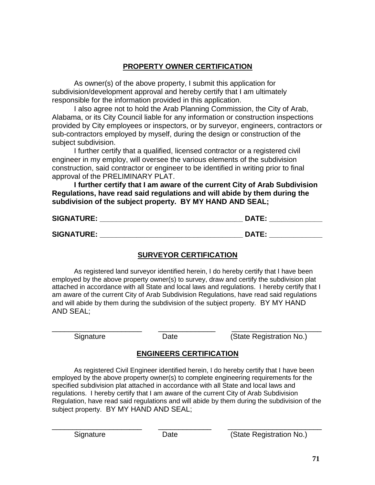#### **PROPERTY OWNER CERTIFICATION**

As owner(s) of the above property, I submit this application for subdivision/development approval and hereby certify that I am ultimately responsible for the information provided in this application.

I also agree not to hold the Arab Planning Commission, the City of Arab, Alabama, or its City Council liable for any information or construction inspections provided by City employees or inspectors, or by surveyor, engineers, contractors or sub-contractors employed by myself, during the design or construction of the subject subdivision.

I further certify that a qualified, licensed contractor or a registered civil engineer in my employ, will oversee the various elements of the subdivision construction, said contractor or engineer to be identified in writing prior to final approval of the PRELIMINARY PLAT.

**I further certify that I am aware of the current City of Arab Subdivision Regulations, have read said regulations and will abide by them during the subdivision of the subject property. BY MY HAND AND SEAL;**

| <b>SIGNATURE:</b> | <b>DATF:</b> |
|-------------------|--------------|
|                   |              |
| <b>SIGNATURE:</b> | DATF:        |

#### **SURVEYOR CERTIFICATION**

As registered land surveyor identified herein, I do hereby certify that I have been employed by the above property owner(s) to survey, draw and certify the subdivision plat attached in accordance with all State and local laws and regulations. I hereby certify that I am aware of the current City of Arab Subdivision Regulations, have read said regulations and will abide by them during the subdivision of the subject property. BY MY HAND AND SEAL;

\_\_\_\_\_\_\_\_\_\_\_\_\_\_\_\_\_\_\_\_\_\_ \_\_\_\_\_\_\_\_\_\_\_\_\_\_ \_\_\_\_\_\_\_\_\_\_\_\_\_\_\_\_\_\_\_\_\_\_

Signature Date **Date** (State Registration No.)

#### **ENGINEERS CERTIFICATION**

As registered Civil Engineer identified herein, I do hereby certify that I have been employed by the above property owner(s) to complete engineering requirements for the specified subdivision plat attached in accordance with all State and local laws and regulations. I hereby certify that I am aware of the current City of Arab Subdivision Regulation, have read said regulations and will abide by them during the subdivision of the subject property. BY MY HAND AND SEAL;

\_\_\_\_\_\_\_\_\_\_\_\_\_\_\_\_\_\_\_\_\_\_ \_\_\_\_\_\_\_\_\_\_\_\_\_ \_\_\_\_\_\_\_\_\_\_\_\_\_\_\_\_\_\_\_\_\_\_\_ Signature Date **Date** (State Registration No.)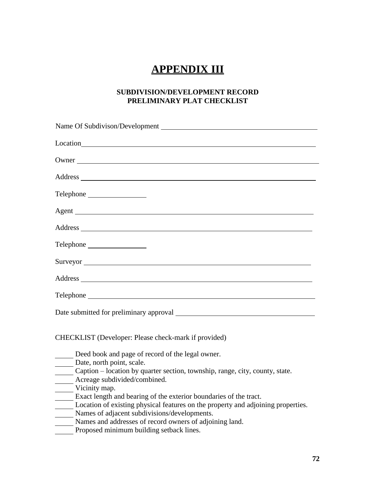# **APPENDIX III**

### **SUBDIVISION/DEVELOPMENT RECORD PRELIMINARY PLAT CHECKLIST**

| Name Of Subdivison/Development                                                                                                                                                                                                       |
|--------------------------------------------------------------------------------------------------------------------------------------------------------------------------------------------------------------------------------------|
|                                                                                                                                                                                                                                      |
| Owner                                                                                                                                                                                                                                |
|                                                                                                                                                                                                                                      |
|                                                                                                                                                                                                                                      |
|                                                                                                                                                                                                                                      |
|                                                                                                                                                                                                                                      |
|                                                                                                                                                                                                                                      |
|                                                                                                                                                                                                                                      |
|                                                                                                                                                                                                                                      |
| Telephone <u>the contract of the contract of the contract of the contract of the contract of the contract of the contract of the contract of the contract of the contract of the contract of the contract of the contract of the</u> |
|                                                                                                                                                                                                                                      |
| CHECKLIST (Developer: Please check-mark if provided)                                                                                                                                                                                 |
| Deed book and page of record of the legal owner.<br>Date, north point, scale.                                                                                                                                                        |
| Caption – location by quarter section, township, range, city, county, state.<br>$\overline{\phantom{a}}$                                                                                                                             |
| Acreage subdivided/combined.                                                                                                                                                                                                         |
| Vicinity map.                                                                                                                                                                                                                        |
| Exact length and bearing of the exterior boundaries of the tract.<br>Location of existing physical features on the property and adjoining properties.                                                                                |
| Names of adjacent subdivisions/developments.                                                                                                                                                                                         |
| Names and addresses of record owners of adjoining land.                                                                                                                                                                              |
| Proposed minimum building setback lines.                                                                                                                                                                                             |